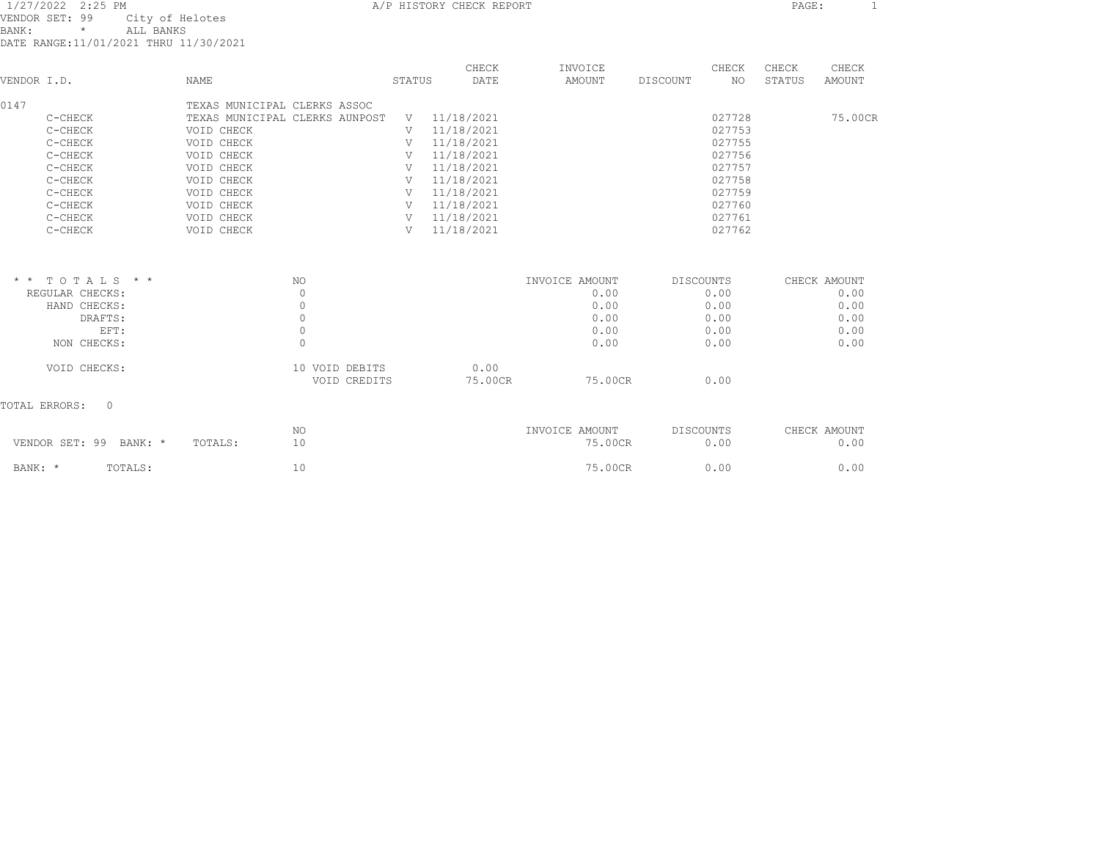| 1/27/2022 2:25 PM<br>VENDOR SET: 99<br>City of Helotes<br>BANK:<br>ALL BANKS<br>$\star$<br>DATE RANGE:11/01/2021 THRU 11/30/2021 |                                | A/P HISTORY CHECK REPORT |        | PAGE:<br>$\mathbf{1}$ |                |          |           |        |              |
|----------------------------------------------------------------------------------------------------------------------------------|--------------------------------|--------------------------|--------|-----------------------|----------------|----------|-----------|--------|--------------|
|                                                                                                                                  |                                |                          |        | CHECK                 | INVOICE        |          | CHECK     | CHECK  | CHECK        |
| VENDOR I.D.                                                                                                                      | NAME                           |                          | STATUS | DATE                  | AMOUNT         | DISCOUNT | NO.       | STATUS | AMOUNT       |
| 0147                                                                                                                             | TEXAS MUNICIPAL CLERKS ASSOC   |                          |        |                       |                |          |           |        |              |
| C-CHECK                                                                                                                          | TEXAS MUNICIPAL CLERKS AUNPOST |                          | V      | 11/18/2021            |                |          | 027728    |        | 75.00CR      |
| C-CHECK                                                                                                                          | VOID CHECK                     |                          | V      | 11/18/2021            |                |          | 027753    |        |              |
| C-CHECK                                                                                                                          | VOID CHECK                     |                          | V      | 11/18/2021            |                |          | 027755    |        |              |
| C-CHECK                                                                                                                          | VOID CHECK                     |                          | V      | 11/18/2021            |                |          | 027756    |        |              |
| C-CHECK                                                                                                                          | VOID CHECK                     |                          | V      | 11/18/2021            |                |          | 027757    |        |              |
| C-CHECK                                                                                                                          | VOID CHECK                     |                          | V      | 11/18/2021            |                |          | 027758    |        |              |
| C-CHECK                                                                                                                          | VOID CHECK                     |                          | V      | 11/18/2021            |                |          | 027759    |        |              |
| C-CHECK                                                                                                                          | VOID CHECK                     |                          | V      | 11/18/2021            |                |          | 027760    |        |              |
| C-CHECK                                                                                                                          | VOID CHECK                     |                          | V      | 11/18/2021            |                |          | 027761    |        |              |
| C-CHECK                                                                                                                          | VOID CHECK                     |                          | V      | 11/18/2021            |                |          | 027762    |        |              |
|                                                                                                                                  |                                |                          |        |                       |                |          |           |        |              |
| $*$ * TOTALS * *                                                                                                                 |                                | <b>NO</b>                |        |                       | INVOICE AMOUNT |          | DISCOUNTS |        | CHECK AMOUNT |
| REGULAR CHECKS:                                                                                                                  |                                | $\Omega$                 |        |                       | 0.00           |          | 0.00      |        | 0.00         |
| HAND CHECKS:                                                                                                                     |                                | $\Omega$                 |        |                       | 0.00           |          | 0.00      |        | 0.00         |
| DRAFTS:                                                                                                                          |                                | $\circ$                  |        |                       | 0.00           |          | 0.00      |        | 0.00         |
| EFT:                                                                                                                             |                                | $\circ$                  |        |                       | 0.00           |          | 0.00      |        | 0.00         |
| NON CHECKS:                                                                                                                      |                                | $\Omega$                 |        |                       | 0.00           |          | 0.00      |        | 0.00         |
| VOID CHECKS:                                                                                                                     |                                | 10 VOID DEBITS           |        | 0.00                  |                |          |           |        |              |
|                                                                                                                                  |                                | VOID CREDITS             |        | 75.00CR               | 75.00CR        |          | 0.00      |        |              |
| TOTAL ERRORS:<br>$\Omega$                                                                                                        |                                |                          |        |                       |                |          |           |        |              |
|                                                                                                                                  |                                | NO                       |        |                       | INVOICE AMOUNT |          | DISCOUNTS |        | CHECK AMOUNT |
| VENDOR SET: 99 BANK: *                                                                                                           | TOTALS:                        | 10                       |        |                       | 75.00CR        |          | 0.00      |        | 0.00         |

BANK: \* TOTALS: 10 75.00CR 0.00 0.00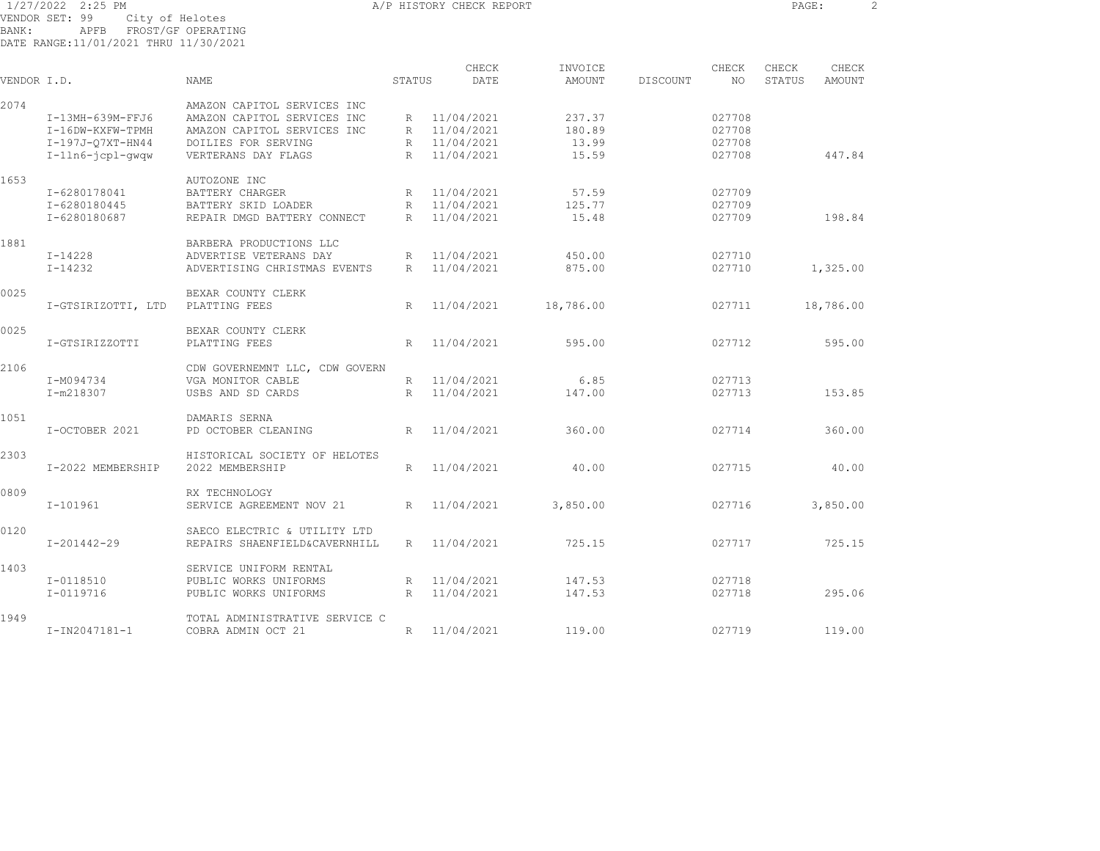1/27/2022 2:25 PM A/P HISTORY CHECK REPORT PAGE: 2 VENDOR SET: 99 City of Helotes

BANK: APFB FROST/GF OPERATING DATE RANGE:11/01/2021 THRU 11/30/2021

| VENDOR I.D. |                    | <b>NAME</b>                    | STATUS          | CHECK<br>DATE | INVOICE<br><b>AMOUNT</b> | DISCOUNT | CHECK<br>NO. | CHECK<br>STATUS | CHECK<br><b>AMOUNT</b> |
|-------------|--------------------|--------------------------------|-----------------|---------------|--------------------------|----------|--------------|-----------------|------------------------|
|             |                    |                                |                 |               |                          |          |              |                 |                        |
| 2074        |                    | AMAZON CAPITOL SERVICES INC    |                 |               |                          |          |              |                 |                        |
|             | I-13MH-639M-FFJ6   | AMAZON CAPITOL SERVICES INC    |                 | R 11/04/2021  | 237.37                   |          | 027708       |                 |                        |
|             | I-16DW-KXFW-TPMH   | AMAZON CAPITOL SERVICES INC    | R               | 11/04/2021    | 180.89                   |          | 027708       |                 |                        |
|             | I-197J-07XT-HN44   | DOILIES FOR SERVING            | R               | 11/04/2021    | 13.99                    |          | 027708       |                 |                        |
|             | I-1ln6-jcpl-gwgw   | VERTERANS DAY FLAGS            | R               | 11/04/2021    | 15.59                    |          | 027708       |                 | 447.84                 |
| 1653        |                    | AUTOZONE INC                   |                 |               |                          |          |              |                 |                        |
|             | I-6280178041       | BATTERY CHARGER                | R               | 11/04/2021    | 57.59                    |          | 027709       |                 |                        |
|             | I-6280180445       | BATTERY SKID LOADER            | R               | 11/04/2021    | 125.77                   |          | 027709       |                 |                        |
|             | I-6280180687       | REPAIR DMGD BATTERY CONNECT    | $R_{\parallel}$ | 11/04/2021    | 15.48                    |          | 027709       |                 | 198.84                 |
| 1881        |                    | BARBERA PRODUCTIONS LLC        |                 |               |                          |          |              |                 |                        |
|             | $I - 14228$        | ADVERTISE VETERANS DAY         | R               | 11/04/2021    | 450.00                   |          | 027710       |                 |                        |
|             | $I - 14232$        | ADVERTISING CHRISTMAS EVENTS   | R               | 11/04/2021    | 875.00                   |          | 027710       |                 | 1,325.00               |
| 0025        |                    | BEXAR COUNTY CLERK             |                 |               |                          |          |              |                 |                        |
|             | I-GTSIRIZOTTI, LTD | PLATTING FEES                  | R               | 11/04/2021    | 18,786.00                |          | 027711       |                 | 18,786.00              |
| 0025        |                    | BEXAR COUNTY CLERK             |                 |               |                          |          |              |                 |                        |
|             |                    |                                |                 |               |                          |          |              |                 |                        |
|             | I-GTSIRIZZOTTI     | PLATTING FEES                  | $R_{\parallel}$ | 11/04/2021    | 595.00                   |          | 027712       |                 | 595.00                 |
| 2106        |                    | CDW GOVERNEMNT LLC, CDW GOVERN |                 |               |                          |          |              |                 |                        |
|             | I-M094734          | VGA MONITOR CABLE              | R               | 11/04/2021    | 6.85                     |          | 027713       |                 |                        |
|             | I-m218307          | USBS AND SD CARDS              | R               | 11/04/2021    | 147.00                   |          | 027713       |                 | 153.85                 |
| 1051        |                    | DAMARIS SERNA                  |                 |               |                          |          |              |                 |                        |
|             | I-OCTOBER 2021     | PD OCTOBER CLEANING            | R               | 11/04/2021    | 360.00                   |          | 027714       |                 | 360.00                 |
| 2303        |                    | HISTORICAL SOCIETY OF HELOTES  |                 |               |                          |          |              |                 |                        |
|             | I-2022 MEMBERSHIP  | 2022 MEMBERSHIP                | R               | 11/04/2021    | 40.00                    |          | 027715       |                 | 40.00                  |
| 0809        |                    | RX TECHNOLOGY                  |                 |               |                          |          |              |                 |                        |
|             | $I-101961$         | SERVICE AGREEMENT NOV 21       | R               | 11/04/2021    | 3,850.00                 |          | 027716       |                 | 3,850.00               |
| 0120        |                    | SAECO ELECTRIC & UTILITY LTD   |                 |               |                          |          |              |                 |                        |
|             | $I - 201442 - 29$  | REPAIRS SHAENFIELD&CAVERNHILL  | $R_{\odot}$     | 11/04/2021    | 725.15                   |          | 027717       |                 | 725.15                 |
|             |                    |                                |                 |               |                          |          |              |                 |                        |
| 1403        |                    | SERVICE UNIFORM RENTAL         |                 |               |                          |          |              |                 |                        |
|             | I-0118510          | PUBLIC WORKS UNIFORMS          | R<br>R          | 11/04/2021    | 147.53                   |          | 027718       |                 |                        |
|             | I-0119716          | PUBLIC WORKS UNIFORMS          |                 | 11/04/2021    | 147.53                   |          | 027718       |                 | 295.06                 |
| 1949        |                    | TOTAL ADMINISTRATIVE SERVICE C |                 |               |                          |          |              |                 |                        |
|             | I-IN2047181-1      | COBRA ADMIN OCT 21             | R               | 11/04/2021    | 119.00                   |          | 027719       |                 | 119.00                 |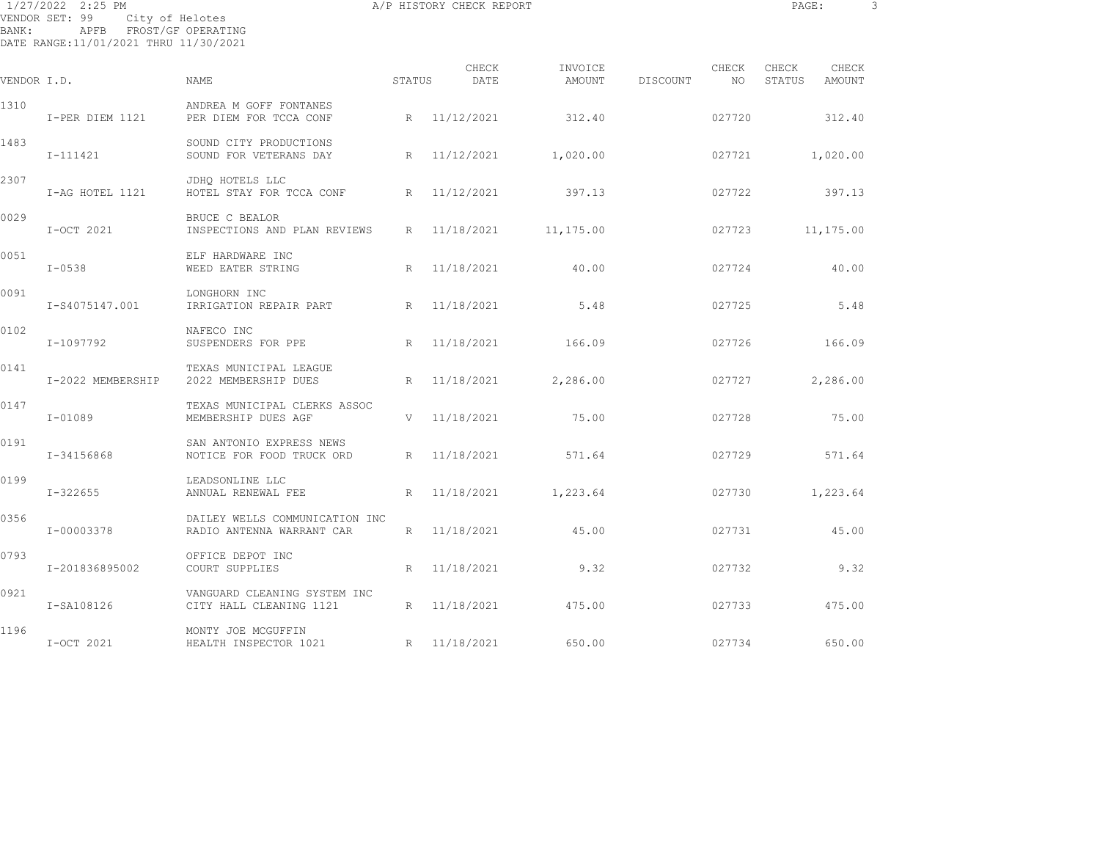| BANK:       | 1/27/2022 2:25 PM<br>VENDOR SET: 99<br>City of Helotes<br>APFB FROST/GF OPERATING<br>DATE RANGE:11/01/2021 THRU 11/30/2021 |                                                             | A/P HISTORY CHECK REPORT | PAGE:         |                   | 3        |             |                 |                 |  |
|-------------|----------------------------------------------------------------------------------------------------------------------------|-------------------------------------------------------------|--------------------------|---------------|-------------------|----------|-------------|-----------------|-----------------|--|
| VENDOR I.D. |                                                                                                                            | <b>NAME</b>                                                 | STATUS                   | CHECK<br>DATE | INVOICE<br>AMOUNT | DISCOUNT | CHECK<br>NO | CHECK<br>STATUS | CHECK<br>AMOUNT |  |
| 1310        |                                                                                                                            | ANDREA M GOFF FONTANES                                      |                          |               |                   |          |             |                 |                 |  |
|             | I-PER DIEM 1121                                                                                                            | PER DIEM FOR TCCA CONF                                      | R                        | 11/12/2021    | 312.40            |          | 027720      |                 | 312.40          |  |
| 1483        | I-111421                                                                                                                   | SOUND CITY PRODUCTIONS<br>SOUND FOR VETERANS DAY            | R                        | 11/12/2021    | 1,020.00          |          | 027721      |                 | 1,020.00        |  |
| 2307        | I-AG HOTEL 1121                                                                                                            | JDHQ HOTELS LLC<br>HOTEL STAY FOR TCCA CONF                 | R                        | 11/12/2021    | 397.13            |          | 027722      |                 | 397.13          |  |
| 0029        | I-OCT 2021                                                                                                                 | BRUCE C BEALOR<br>INSPECTIONS AND PLAN REVIEWS              | R                        | 11/18/2021    | 11,175.00         |          | 027723      |                 | 11,175.00       |  |
| 0051        | $I - 0538$                                                                                                                 | ELF HARDWARE INC<br>WEED EATER STRING                       | R                        | 11/18/2021    | 40.00             |          | 027724      |                 | 40.00           |  |
| 0091        | I-S4075147.001                                                                                                             | LONGHORN INC<br>IRRIGATION REPAIR PART                      | R                        | 11/18/2021    | 5.48              |          | 027725      |                 | 5.48            |  |
| 0102        | I-1097792                                                                                                                  | NAFECO INC<br>SUSPENDERS FOR PPE                            | R                        | 11/18/2021    | 166.09            |          | 027726      |                 | 166.09          |  |
| 0141        | I-2022 MEMBERSHIP                                                                                                          | TEXAS MUNICIPAL LEAGUE<br>2022 MEMBERSHIP DUES              | R                        | 11/18/2021    | 2,286.00          |          | 027727      |                 | 2,286.00        |  |
| 0147        | $I-01089$                                                                                                                  | TEXAS MUNICIPAL CLERKS ASSOC<br>MEMBERSHIP DUES AGF         | V                        | 11/18/2021    | 75.00             |          | 027728      |                 | 75.00           |  |
| 0191        | I-34156868                                                                                                                 | SAN ANTONIO EXPRESS NEWS<br>NOTICE FOR FOOD TRUCK ORD       | R                        | 11/18/2021    | 571.64            |          | 027729      |                 | 571.64          |  |
| 0199        | I-322655                                                                                                                   | LEADSONLINE LLC<br>ANNUAL RENEWAL FEE                       | R                        | 11/18/2021    | 1,223.64          |          | 027730      |                 | 1,223.64        |  |
| 0356        | I-00003378                                                                                                                 | DAILEY WELLS COMMUNICATION INC<br>RADIO ANTENNA WARRANT CAR | R                        | 11/18/2021    | 45.00             |          | 027731      |                 | 45.00           |  |
| 0793        | I-201836895002                                                                                                             | OFFICE DEPOT INC<br>COURT SUPPLIES                          | R                        | 11/18/2021    | 9.32              |          | 027732      |                 | 9.32            |  |
| 0921        | I-SA108126                                                                                                                 | VANGUARD CLEANING SYSTEM INC<br>CITY HALL CLEANING 1121     | R                        | 11/18/2021    | 475.00            |          | 027733      |                 | 475.00          |  |

I-OCT 2021 HEALTH INSPECTOR 1021 R 11/18/2021 650.00 027734 650.00

1196 MONTY JOE MCGUFFIN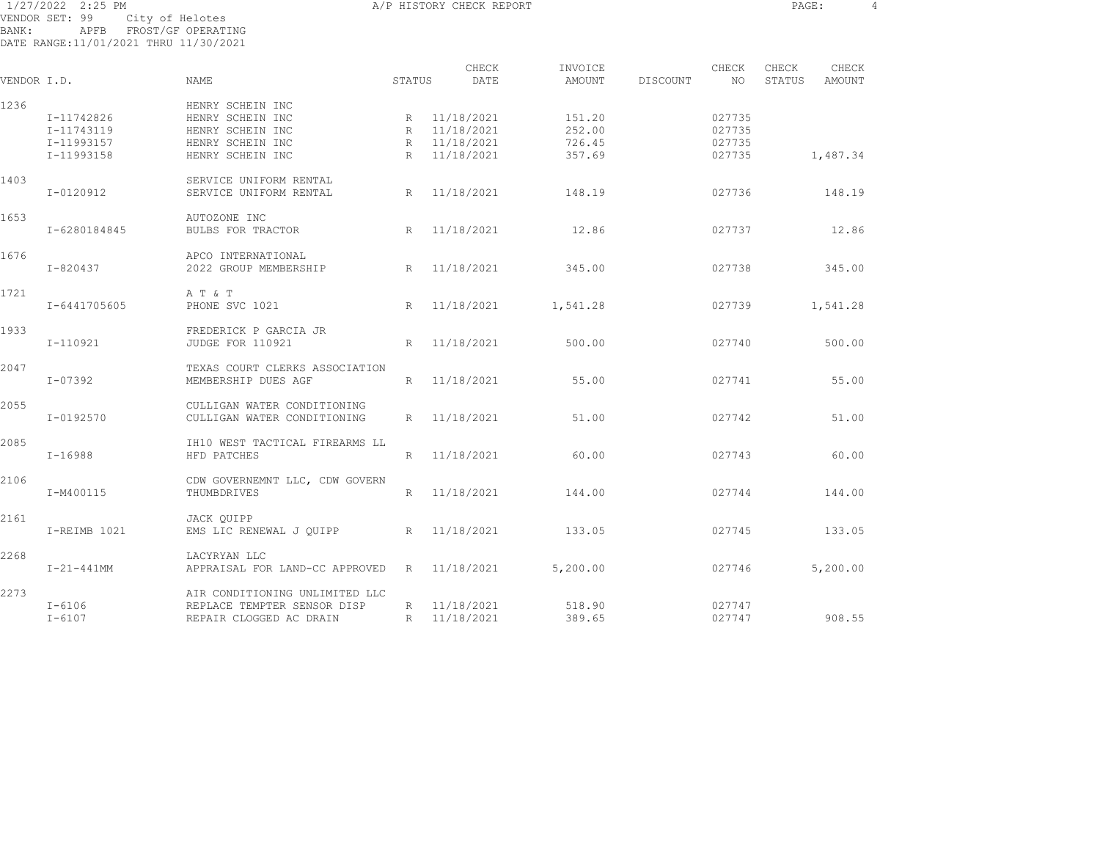1/27/2022 2:25 PM A/P HISTORY CHECK REPORT PAGE: 4 VENDOR SET: 99 City of Helotes BANK: APFB FROST/GF OPERATING DATE RANGE:11/01/2021 THRU 11/30/2021

| VENDOR I.D. |                                                      | <b>NAME</b>                                                                                      | STATUS                         | CHECK<br>DATE                                        | INVOICE<br>AMOUNT                    | DISCOUNT | CHECK<br>NO.                         | CHECK<br>STATUS | CHECK<br>AMOUNT |
|-------------|------------------------------------------------------|--------------------------------------------------------------------------------------------------|--------------------------------|------------------------------------------------------|--------------------------------------|----------|--------------------------------------|-----------------|-----------------|
| 1236        | I-11742826<br>I-11743119<br>I-11993157<br>I-11993158 | HENRY SCHEIN INC<br>HENRY SCHEIN INC<br>HENRY SCHEIN INC<br>HENRY SCHEIN INC<br>HENRY SCHEIN INC | R<br>$R_{\parallel}$<br>R<br>R | 11/18/2021<br>11/18/2021<br>11/18/2021<br>11/18/2021 | 151.20<br>252.00<br>726.45<br>357.69 |          | 027735<br>027735<br>027735<br>027735 |                 | 1,487.34        |
| 1403        | I-0120912                                            | SERVICE UNIFORM RENTAL<br>SERVICE UNIFORM RENTAL                                                 | R                              | 11/18/2021                                           | 148.19                               |          | 027736                               |                 | 148.19          |
| 1653        | I-6280184845                                         | AUTOZONE INC<br>BULBS FOR TRACTOR                                                                | R                              | 11/18/2021                                           | 12.86                                |          | 027737                               |                 | 12.86           |
| 1676        | I-820437                                             | APCO INTERNATIONAL<br>2022 GROUP MEMBERSHIP                                                      | R                              | 11/18/2021                                           | 345.00                               |          | 027738                               |                 | 345.00          |
| 1721        | I-6441705605                                         | A T & T<br>PHONE SVC 1021                                                                        | R                              | 11/18/2021                                           | 1,541.28                             |          | 027739                               |                 | 1,541.28        |
| 1933        | I-110921                                             | FREDERICK P GARCIA JR<br>JUDGE FOR 110921                                                        | R                              | 11/18/2021                                           | 500.00                               |          | 027740                               |                 | 500.00          |
| 2047        | I-07392                                              | TEXAS COURT CLERKS ASSOCIATION<br>MEMBERSHIP DUES AGF                                            | R                              | 11/18/2021                                           | 55.00                                |          | 027741                               |                 | 55.00           |
| 2055        | I-0192570                                            | CULLIGAN WATER CONDITIONING<br>CULLIGAN WATER CONDITIONING                                       | R                              | 11/18/2021                                           | 51.00                                |          | 027742                               |                 | 51.00           |
| 2085        | $I-16988$                                            | IH10 WEST TACTICAL FIREARMS LL<br>HFD PATCHES                                                    | R                              | 11/18/2021                                           | 60.00                                |          | 027743                               |                 | 60.00           |
| 2106        | I-M400115                                            | CDW GOVERNEMNT LLC, CDW GOVERN<br>THUMBDRIVES                                                    | R                              | 11/18/2021                                           | 144.00                               |          | 027744                               |                 | 144.00          |
| 2161        | I-REIMB 1021                                         | JACK OUIPP<br>EMS LIC RENEWAL J OUIPP                                                            | R                              | 11/18/2021                                           | 133.05                               |          | 027745                               |                 | 133.05          |
| 2268        | $I-21-441$ MM                                        | LACYRYAN LLC<br>APPRAISAL FOR LAND-CC APPROVED                                                   | R                              | 11/18/2021                                           | 5,200.00                             |          | 027746                               |                 | 5,200.00        |
| 2273        | $I - 6106$<br>$I - 6107$                             | AIR CONDITIONING UNLIMITED LLC<br>REPLACE TEMPTER SENSOR DISP<br>REPAIR CLOGGED AC DRAIN         | R<br>R                         | 11/18/2021<br>11/18/2021                             | 518.90<br>389.65                     |          | 027747<br>027747                     |                 | 908.55          |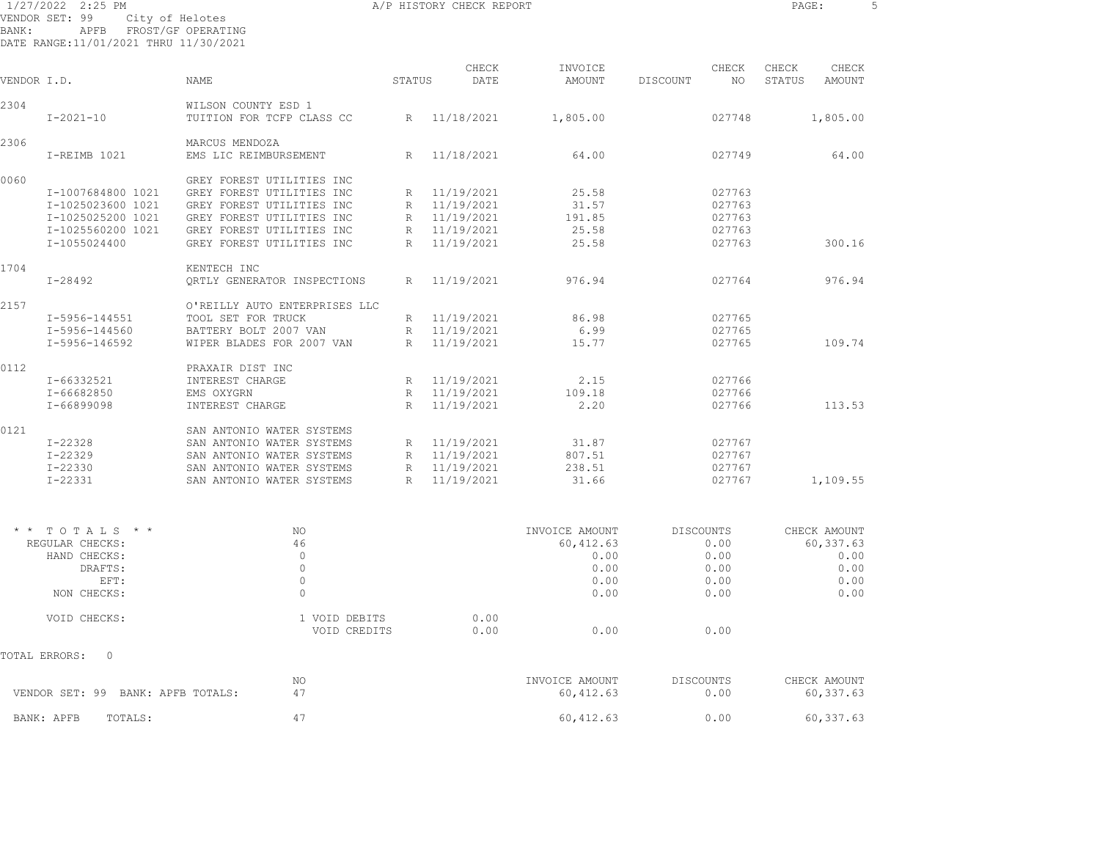1/27/2022 2:25 PM A/P HISTORY CHECK REPORT PAGE: 5 VENDOR SET: 99 City of Helotes BANK: APFB FROST/GF OPERATING

DATE RANGE:11/01/2021 THRU 11/30/2021

| VENDOR I.D.     |                                   | <b>NAME</b>                             | STATUS       | CHECK<br>DATE | INVOICE<br>AMOUNT            | CHECK<br>NO.<br>DISCOUNT | CHECK<br>CHECK<br>STATUS<br>AMOUNT |
|-----------------|-----------------------------------|-----------------------------------------|--------------|---------------|------------------------------|--------------------------|------------------------------------|
| 2304            |                                   | WILSON COUNTY ESD 1                     |              |               |                              |                          |                                    |
|                 | $I - 2021 - 10$                   | TUITION FOR TCFP CLASS CC               | R            | 11/18/2021    | 1,805.00                     | 027748                   | 1,805.00                           |
| 2306            | I-REIMB 1021                      | MARCUS MENDOZA<br>EMS LIC REIMBURSEMENT | $\mathbb{R}$ | 11/18/2021    | 64.00                        | 027749                   | 64.00                              |
| 0060            |                                   | GREY FOREST UTILITIES INC               |              |               |                              |                          |                                    |
|                 | I-1007684800 1021                 | GREY FOREST UTILITIES INC               | R            | 11/19/2021    | 25.58                        | 027763                   |                                    |
|                 | I-1025023600 1021                 | GREY FOREST UTILITIES INC               | $\mathbb{R}$ | 11/19/2021    | 31.57                        | 027763                   |                                    |
|                 | I-1025025200 1021                 | GREY FOREST UTILITIES INC               | $R_{\odot}$  | 11/19/2021    | 191.85                       | 027763                   |                                    |
|                 | I-1025560200 1021                 | GREY FOREST UTILITIES INC               | R            | 11/19/2021    | 25.58                        | 027763                   |                                    |
|                 | I-1055024400                      | GREY FOREST UTILITIES INC               | R            | 11/19/2021    | 25.58                        | 027763                   | 300.16                             |
| 1704            |                                   | KENTECH INC                             |              |               |                              |                          |                                    |
|                 | $I - 28492$                       | ORTLY GENERATOR INSPECTIONS             | $R_{\odot}$  | 11/19/2021    | 976.94                       | 027764                   | 976.94                             |
| 2157            |                                   | O'REILLY AUTO ENTERPRISES LLC           |              |               |                              |                          |                                    |
|                 | I-5956-144551                     | TOOL SET FOR TRUCK                      | R            | 11/19/2021    | 86.98                        | 027765                   |                                    |
|                 | I-5956-144560                     | BATTERY BOLT 2007 VAN                   | R            | 11/19/2021    | 6.99                         | 027765                   |                                    |
|                 | I-5956-146592                     | WIPER BLADES FOR 2007 VAN               | R            | 11/19/2021    | 15.77                        | 027765                   | 109.74                             |
| 0112            |                                   | PRAXAIR DIST INC                        |              |               |                              |                          |                                    |
|                 | I-66332521                        | INTEREST CHARGE                         | R            | 11/19/2021    | 2.15                         | 027766                   |                                    |
|                 | I-66682850                        | EMS OXYGRN                              | R            | 11/19/2021    | 109.18                       | 027766                   |                                    |
|                 | I-66899098                        | INTEREST CHARGE                         | $\mathbb{R}$ | 11/19/2021    | 2.20                         | 027766                   | 113.53                             |
| 0121            |                                   | SAN ANTONIO WATER SYSTEMS               |              |               |                              |                          |                                    |
|                 | $I - 22328$                       | SAN ANTONIO WATER SYSTEMS               | R            | 11/19/2021    | 31.87                        | 027767                   |                                    |
|                 | $I - 22329$                       | SAN ANTONIO WATER SYSTEMS               | $R_{\odot}$  | 11/19/2021    | 807.51                       | 027767                   |                                    |
|                 | I-22330                           | SAN ANTONIO WATER SYSTEMS               | $\mathbb R$  | 11/19/2021    | 238.51                       | 027767                   |                                    |
|                 | $I - 22331$                       | SAN ANTONIO WATER SYSTEMS               | $\mathbb{R}$ | 11/19/2021    | 31.66                        | 027767                   | 1,109.55                           |
|                 |                                   |                                         |              |               |                              |                          |                                    |
| $\star$ $\star$ | TOTALS * *                        | NO                                      |              |               | INVOICE AMOUNT               | <b>DISCOUNTS</b>         | CHECK AMOUNT                       |
|                 | REGULAR CHECKS:                   | 46                                      |              |               | 60, 412.63                   | 0.00                     | 60,337.63                          |
|                 | HAND CHECKS:                      | $\Omega$                                |              |               | 0.00                         | 0.00                     | 0.00                               |
|                 | DRAFTS:                           | $\circ$                                 |              |               | 0.00                         | 0.00                     | 0.00                               |
|                 | EFT:                              | $\circ$                                 |              |               | 0.00                         | 0.00                     | 0.00                               |
|                 | NON CHECKS:                       | $\Omega$                                |              |               | 0.00                         | 0.00                     | 0.00                               |
|                 | VOID CHECKS:                      | 1 VOID DEBITS<br>VOID CREDITS           |              | 0.00<br>0.00  | 0.00                         | 0.00                     |                                    |
|                 | $\mathbf 0$<br>TOTAL ERRORS:      |                                         |              |               |                              |                          |                                    |
|                 | VENDOR SET: 99 BANK: APFB TOTALS: | NO.<br>47                               |              |               | INVOICE AMOUNT<br>60, 412.63 | <b>DISCOUNTS</b><br>0.00 | CHECK AMOUNT<br>60,337.63          |
|                 |                                   |                                         |              |               |                              |                          |                                    |
|                 | TOTALS:<br>BANK: APFB             | 47                                      |              |               | 60, 412.63                   | 0.00                     | 60,337.63                          |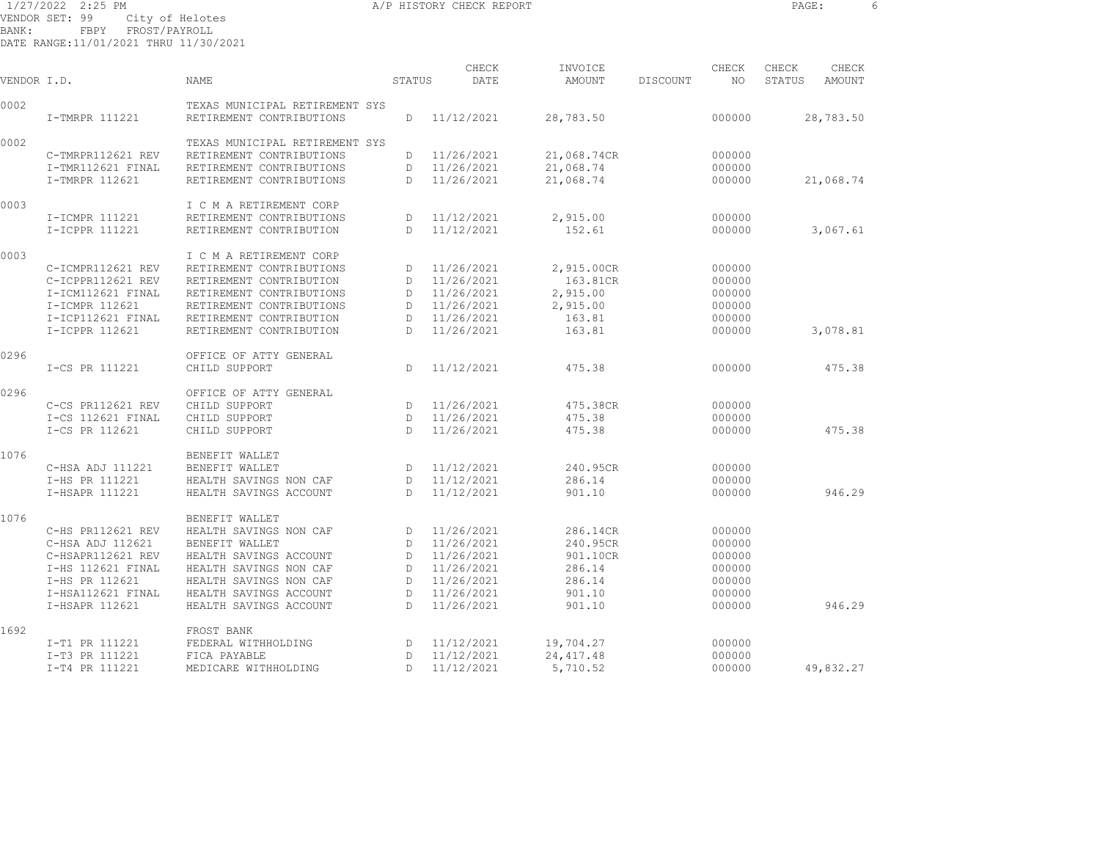1/27/2022 2:25 PM A/P HISTORY CHECK REPORT PAGE: 6

VENDOR SET: 99 City of Helotes BANK: FBPY FROST/PAYROLL

DATE RANGE:11/01/2021 THRU 11/30/2021

| VENDOR I.D. |                   | <b>NAME</b>                                                | STATUS       | CHECK<br>DATE | INVOICE<br>AMOUNT | DISCOUNT | CHECK<br>NO | CHECK<br>STATUS | CHECK<br><b>AMOUNT</b> |  |
|-------------|-------------------|------------------------------------------------------------|--------------|---------------|-------------------|----------|-------------|-----------------|------------------------|--|
| 0002        | I-TMRPR 111221    | TEXAS MUNICIPAL RETIREMENT SYS<br>RETIREMENT CONTRIBUTIONS | D            | 11/12/2021    | 28,783.50         |          | 000000      |                 | 28,783.50              |  |
| 0002        |                   | TEXAS MUNICIPAL RETIREMENT SYS                             |              |               |                   |          |             |                 |                        |  |
|             | C-TMRPR112621 REV | RETIREMENT CONTRIBUTIONS                                   | D            | 11/26/2021    | 21,068.74CR       |          | 000000      |                 |                        |  |
|             | I-TMR112621 FINAL | RETIREMENT CONTRIBUTIONS                                   | D            | 11/26/2021    | 21,068.74         |          | 000000      |                 |                        |  |
|             | I-TMRPR 112621    | RETIREMENT CONTRIBUTIONS                                   | D            | 11/26/2021    | 21,068.74         |          | 000000      |                 | 21,068.74              |  |
| 0003        |                   | I C M A RETIREMENT CORP                                    |              |               |                   |          |             |                 |                        |  |
|             | I-ICMPR 111221    | RETIREMENT CONTRIBUTIONS                                   | D            | 11/12/2021    | 2,915.00          |          | 000000      |                 |                        |  |
|             | I-ICPPR 111221    | RETIREMENT CONTRIBUTION                                    | D            | 11/12/2021    | 152.61            |          | 000000      |                 | 3,067.61               |  |
| 0003        |                   | I C M A RETIREMENT CORP                                    |              |               |                   |          |             |                 |                        |  |
|             | C-ICMPR112621 REV | RETIREMENT CONTRIBUTIONS                                   | D            | 11/26/2021    | 2,915.00CR        |          | 000000      |                 |                        |  |
|             | C-ICPPR112621 REV | RETIREMENT CONTRIBUTION                                    | D            | 11/26/2021    | 163.81CR          |          | 000000      |                 |                        |  |
|             | I-ICM112621 FINAL | RETIREMENT CONTRIBUTIONS                                   | D            | 11/26/2021    | 2,915.00          |          | 000000      |                 |                        |  |
|             | I-ICMPR 112621    | RETIREMENT CONTRIBUTIONS                                   | D            | 11/26/2021    | 2,915.00          |          | 000000      |                 |                        |  |
|             | I-ICP112621 FINAL | RETIREMENT CONTRIBUTION                                    | D            | 11/26/2021    | 163.81            |          | 000000      |                 |                        |  |
|             | I-ICPPR 112621    | RETIREMENT CONTRIBUTION                                    | $\mathbb{D}$ | 11/26/2021    | 163.81            |          | 000000      |                 | 3,078.81               |  |
| 0296        |                   | OFFICE OF ATTY GENERAL                                     |              |               |                   |          |             |                 |                        |  |
|             | I-CS PR 111221    | CHILD SUPPORT                                              | D.           | 11/12/2021    | 475.38            |          | 000000      |                 | 475.38                 |  |
| 0296        |                   | OFFICE OF ATTY GENERAL                                     |              |               |                   |          |             |                 |                        |  |
|             | C-CS PR112621 REV | CHILD SUPPORT                                              | D            | 11/26/2021    | 475.38CR          |          | 000000      |                 |                        |  |
|             | I-CS 112621 FINAL | CHILD SUPPORT                                              | D            | 11/26/2021    | 475.38            |          | 000000      |                 |                        |  |
|             | I-CS PR 112621    | CHILD SUPPORT                                              | $\mathbb{D}$ | 11/26/2021    | 475.38            |          | 000000      |                 | 475.38                 |  |
| 1076        |                   | BENEFIT WALLET                                             |              |               |                   |          |             |                 |                        |  |
|             | C-HSA ADJ 111221  | BENEFIT WALLET                                             | D            | 11/12/2021    | 240.95CR          |          | 000000      |                 |                        |  |
|             | I-HS PR 111221    | HEALTH SAVINGS NON CAF                                     | D            | 11/12/2021    | 286.14            |          | 000000      |                 |                        |  |
|             | I-HSAPR 111221    | HEALTH SAVINGS ACCOUNT                                     | $\mathbb{D}$ | 11/12/2021    | 901.10            |          | 000000      |                 | 946.29                 |  |
| 1076        |                   | BENEFIT WALLET                                             |              |               |                   |          |             |                 |                        |  |
|             | C-HS PR112621 REV | HEALTH SAVINGS NON CAF                                     | D            | 11/26/2021    | 286.14CR          |          | 000000      |                 |                        |  |
|             | C-HSA ADJ 112621  | BENEFIT WALLET                                             | D            | 11/26/2021    | 240.95CR          |          | 000000      |                 |                        |  |
|             | C-HSAPR112621 REV | HEALTH SAVINGS ACCOUNT                                     | D            | 11/26/2021    | 901.10CR          |          | 000000      |                 |                        |  |
|             | I-HS 112621 FINAL | HEALTH SAVINGS NON CAF                                     | D            | 11/26/2021    | 286.14            |          | 000000      |                 |                        |  |
|             | I-HS PR 112621    | HEALTH SAVINGS NON CAF                                     | D            | 11/26/2021    | 286.14            |          | 000000      |                 |                        |  |
|             | I-HSA112621 FINAL | HEALTH SAVINGS ACCOUNT                                     | D            | 11/26/2021    | 901.10            |          | 000000      |                 |                        |  |
|             | I-HSAPR 112621    | HEALTH SAVINGS ACCOUNT                                     | D            | 11/26/2021    | 901.10            |          | 000000      |                 | 946.29                 |  |
| 1692        |                   | FROST BANK                                                 |              |               |                   |          |             |                 |                        |  |
|             | I-T1 PR 111221    | FEDERAL WITHHOLDING                                        | D            | 11/12/2021    | 19,704.27         |          | 000000      |                 |                        |  |
|             | I-T3 PR 111221    | FICA PAYABLE                                               | D            | 11/12/2021    | 24, 417.48        |          | 000000      |                 |                        |  |
|             | I-T4 PR 111221    | MEDICARE WITHHOLDING                                       | D            | 11/12/2021    | 5,710.52          |          | 000000      |                 | 49,832.27              |  |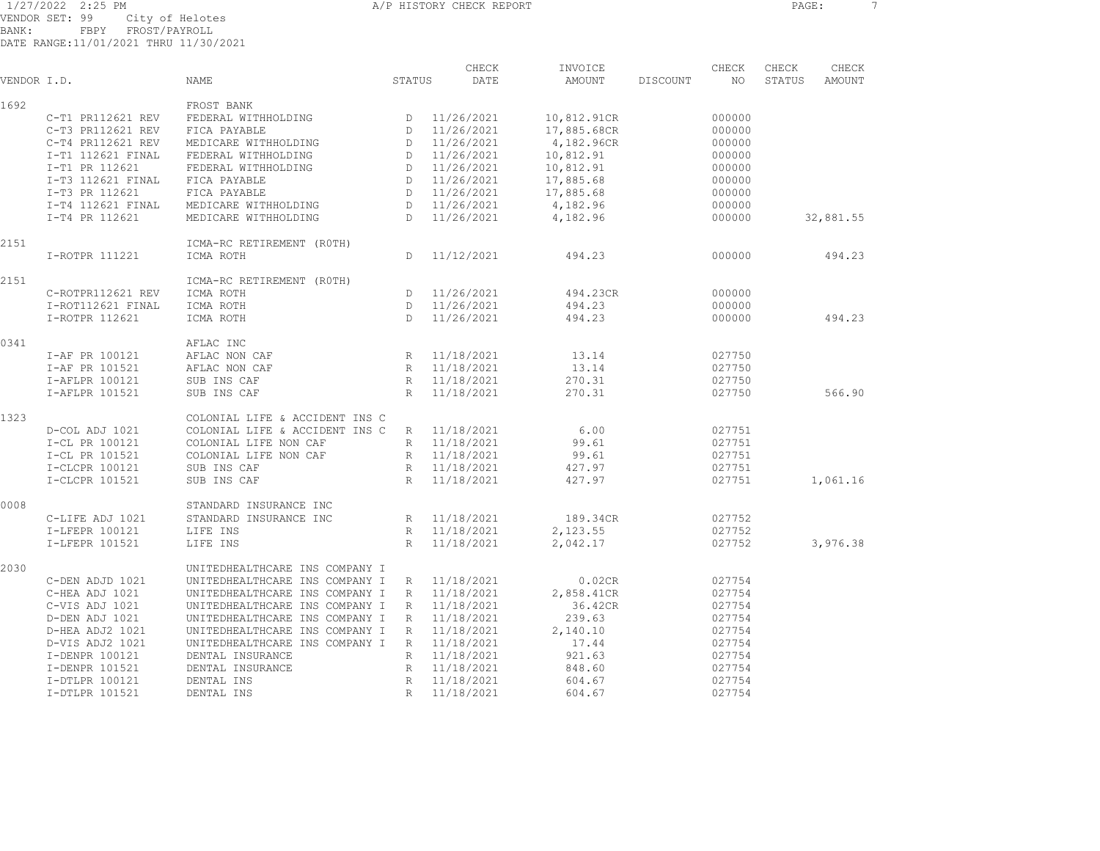1/27/2022 2:25 PM A/P HISTORY CHECK REPORT PAGE: 7 VENDOR SET: 99 City of Helotes BANK: FBPY FROST/PAYROLL

DATE RANGE:11/01/2021 THRU 11/30/2021

| VENDOR I.D. |                   | NAME                           | STATUS       | CHECK<br>DATE | INVOICE<br>AMOUNT | DISCOUNT | CHECK<br>NO | CHECK<br>STATUS | CHECK<br>AMOUNT |
|-------------|-------------------|--------------------------------|--------------|---------------|-------------------|----------|-------------|-----------------|-----------------|
|             |                   |                                |              |               |                   |          |             |                 |                 |
| 1692        |                   | FROST BANK                     |              |               |                   |          |             |                 |                 |
|             | C-T1 PR112621 REV | FEDERAL WITHHOLDING            | D            | 11/26/2021    | 10,812.91CR       |          | 000000      |                 |                 |
|             | C-T3 PR112621 REV | FICA PAYABLE                   |              | D 11/26/2021  | 17,885.68CR       |          | 000000      |                 |                 |
|             | C-T4 PR112621 REV | MEDICARE WITHHOLDING           | D            | 11/26/2021    | 4,182.96CR        |          | 000000      |                 |                 |
|             | I-T1 112621 FINAL | FEDERAL WITHHOLDING            | D            | 11/26/2021    | 10,812.91         |          | 000000      |                 |                 |
|             | I-T1 PR 112621    | FEDERAL WITHHOLDING            | D            | 11/26/2021    | 10,812.91         |          | 000000      |                 |                 |
|             | I-T3 112621 FINAL | FICA PAYABLE                   | D            | 11/26/2021    | 17,885.68         |          | 000000      |                 |                 |
|             | I-T3 PR 112621    | FICA PAYABLE                   | D            | 11/26/2021    | 17,885.68         |          | 000000      |                 |                 |
|             | I-T4 112621 FINAL | MEDICARE WITHHOLDING           | D            | 11/26/2021    | 4,182.96          |          | 000000      |                 |                 |
|             | I-T4 PR 112621    | MEDICARE WITHHOLDING           | D            | 11/26/2021    | 4,182.96          |          | 000000      |                 | 32,881.55       |
| 2151        |                   | ICMA-RC RETIREMENT (ROTH)      |              |               |                   |          |             |                 |                 |
|             | I-ROTPR 111221    | ICMA ROTH                      | D            | 11/12/2021    | 494.23            |          | 000000      |                 | 494.23          |
| 2151        |                   | ICMA-RC RETIREMENT (ROTH)      |              |               |                   |          |             |                 |                 |
|             | C-ROTPR112621 REV | ICMA ROTH                      | D            | 11/26/2021    | 494.23CR          |          | 000000      |                 |                 |
|             | I-ROT112621 FINAL | ICMA ROTH                      | $\mathbb{D}$ | 11/26/2021    | 494.23            |          | 000000      |                 |                 |
|             | I-ROTPR 112621    | ICMA ROTH                      | D.           | 11/26/2021    | 494.23            |          | 000000      |                 | 494.23          |
|             |                   |                                |              |               |                   |          |             |                 |                 |
| 0341        |                   | AFLAC INC                      |              |               |                   |          |             |                 |                 |
|             | I-AF PR 100121    | AFLAC NON CAF                  |              | R 11/18/2021  | 13.14             |          | 027750      |                 |                 |
|             | I-AF PR 101521    | AFLAC NON CAF                  |              | R 11/18/2021  | 13.14             |          | 027750      |                 |                 |
|             | I-AFLPR 100121    | SUB INS CAF                    |              | R 11/18/2021  | 270.31            |          | 027750      |                 |                 |
|             | I-AFLPR 101521    | SUB INS CAF                    | R            | 11/18/2021    | 270.31            |          | 027750      |                 | 566.90          |
| 1323        |                   | COLONIAL LIFE & ACCIDENT INS C |              |               |                   |          |             |                 |                 |
|             | D-COL ADJ 1021    | COLONIAL LIFE & ACCIDENT INS C | R            | 11/18/2021    | 6.00              |          | 027751      |                 |                 |
|             | I-CL PR 100121    | COLONIAL LIFE NON CAF          | R            | 11/18/2021    | 99.61             |          | 027751      |                 |                 |
|             | I-CL PR 101521    | COLONIAL LIFE NON CAF          |              | R 11/18/2021  | 99.61             |          | 027751      |                 |                 |
|             | I-CLCPR 100121    | SUB INS CAF                    | R            | 11/18/2021    | 427.97            |          | 027751      |                 |                 |
|             | I-CLCPR 101521    | SUB INS CAF                    | R            | 11/18/2021    | 427.97            |          | 027751      |                 | 1,061.16        |
| 0008        |                   | STANDARD INSURANCE INC         |              |               |                   |          |             |                 |                 |
|             | C-LIFE ADJ 1021   | STANDARD INSURANCE INC         |              | R 11/18/2021  | 189.34CR          |          | 027752      |                 |                 |
|             | I-LFEPR 100121    | LIFE INS                       |              | R 11/18/2021  | 2,123.55          |          | 027752      |                 |                 |
|             | I-LFEPR 101521    | LIFE INS                       | R            | 11/18/2021    | 2,042.17          |          | 027752      |                 | 3,976.38        |
|             |                   |                                |              |               |                   |          |             |                 |                 |
| 2030        |                   | UNITEDHEALTHCARE INS COMPANY I |              |               |                   |          |             |                 |                 |
|             | C-DEN ADJD 1021   | UNITEDHEALTHCARE INS COMPANY I | $R_{\perp}$  | 11/18/2021    | 0.02CR            |          | 027754      |                 |                 |
|             | C-HEA ADJ 1021    | UNITEDHEALTHCARE INS COMPANY I | $\mathbb{R}$ | 11/18/2021    | 2,858.41CR        |          | 027754      |                 |                 |
|             | C-VIS ADJ 1021    | UNITEDHEALTHCARE INS COMPANY I | $R_{\odot}$  | 11/18/2021    | 36.42CR           |          | 027754      |                 |                 |
|             | D-DEN ADJ 1021    | UNITEDHEALTHCARE INS COMPANY I | $\mathbb{R}$ | 11/18/2021    | 239.63            |          | 027754      |                 |                 |
|             | D-HEA ADJ2 1021   | UNITEDHEALTHCARE INS COMPANY I | $R_{\perp}$  | 11/18/2021    | 2,140.10          |          | 027754      |                 |                 |
|             | D-VIS ADJ2 1021   | UNITEDHEALTHCARE INS COMPANY I | $R_{\odot}$  | 11/18/2021    | 17.44             |          | 027754      |                 |                 |
|             | I-DENPR 100121    | DENTAL INSURANCE               | R            | 11/18/2021    | 921.63            |          | 027754      |                 |                 |
|             | I-DENPR 101521    | DENTAL INSURANCE               | $\mathbb{R}$ | 11/18/2021    | 848.60            |          | 027754      |                 |                 |
|             | I-DTLPR 100121    | DENTAL INS                     | R            | 11/18/2021    | 604.67            |          | 027754      |                 |                 |

I-DTLPR 101521 DENTAL INS R 11/18/2021 604.67 027754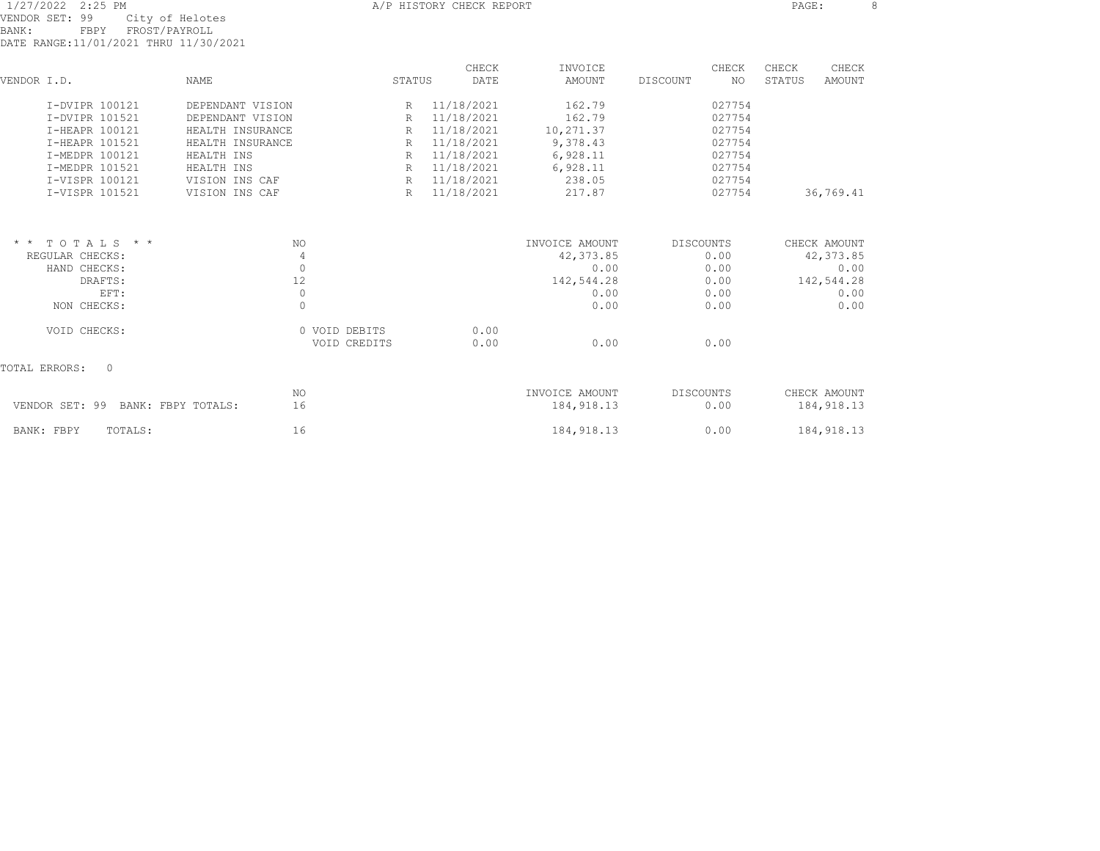|                |  | 1/27/2022 2:25 PM |  |  |                                       |  |
|----------------|--|-------------------|--|--|---------------------------------------|--|
| VENDOR SET: 99 |  |                   |  |  | City of Helotes                       |  |
| BANK:          |  | FRPY              |  |  | FROST/PAYROLL                         |  |
|                |  |                   |  |  | DATE RANGE:11/01/2021 THRU 11/30/2021 |  |

| VENDOR I.D. |                                      | <b>NAME</b>      |               | STATUS | CHECK<br>DATE | INVOICE<br>AMOUNT | DISCOUNT  | CHECK<br>NO. | CHECK<br>STATUS | CHECK<br><b>AMOUNT</b> |
|-------------|--------------------------------------|------------------|---------------|--------|---------------|-------------------|-----------|--------------|-----------------|------------------------|
|             |                                      |                  |               |        |               |                   |           |              |                 |                        |
|             | I-DVIPR 100121                       | DEPENDANT VISION |               | R      | 11/18/2021    | 162.79            |           | 027754       |                 |                        |
|             | I-DVIPR 101521                       | DEPENDANT VISION |               | R      | 11/18/2021    | 162.79            |           | 027754       |                 |                        |
|             | I-HEAPR 100121                       | HEALTH INSURANCE |               | R      | 11/18/2021    | 10,271.37         |           | 027754       |                 |                        |
|             | I-HEAPR 101521                       | HEALTH INSURANCE |               | R      | 11/18/2021    | 9,378.43          |           | 027754       |                 |                        |
|             | I-MEDPR 100121                       | HEALTH INS       |               | R      | 11/18/2021    | 6,928.11          |           | 027754       |                 |                        |
|             | I-MEDPR 101521                       | HEALTH INS       |               | R      | 11/18/2021    | 6,928.11          |           | 027754       |                 |                        |
|             | I-VISPR 100121                       | VISION INS CAF   |               | R      | 11/18/2021    | 238.05            |           | 027754       |                 |                        |
|             | I-VISPR 101521                       | VISION INS CAF   |               | R      | 11/18/2021    | 217.87            |           | 027754       |                 | 36,769.41              |
|             |                                      |                  |               |        |               |                   |           |              |                 |                        |
|             | $*$ * TOTALS * *                     |                  | NO.           |        |               | INVOICE AMOUNT    | DISCOUNTS |              |                 | CHECK AMOUNT           |
|             | REGULAR CHECKS:                      |                  | 4             |        |               | 42,373.85         |           | 0.00         |                 | 42, 373.85             |
|             | HAND CHECKS:                         |                  | $\circ$       |        |               | 0.00              |           | 0.00         |                 | 0.00                   |
|             | DRAFTS:                              |                  | 12            |        |               | 142,544.28        |           | 0.00         |                 | 142,544.28             |
|             | EFT:                                 |                  | $\circ$       |        |               | 0.00              |           | 0.00         |                 | 0.00                   |
|             | NON CHECKS:                          |                  | $\Omega$      |        |               | 0.00              |           | 0.00         |                 | 0.00                   |
|             | VOID CHECKS:                         |                  | 0 VOID DEBITS |        | 0.00          |                   |           |              |                 |                        |
|             |                                      |                  | VOID CREDITS  |        | 0.00          | 0.00              |           | 0.00         |                 |                        |
|             | $\Omega$<br>TOTAL ERRORS:            |                  |               |        |               |                   |           |              |                 |                        |
|             |                                      |                  | NO.           |        |               | INVOICE AMOUNT    | DISCOUNTS |              |                 | CHECK AMOUNT           |
|             | VENDOR SET: 99<br>BANK: FBPY TOTALS: |                  | 16            |        |               | 184, 918.13       |           | 0.00         |                 | 184, 918.13            |
|             | BANK: FBPY<br>TOTALS:                |                  | 16            |        |               | 184, 918.13       |           | 0.00         |                 | 184, 918.13            |
|             |                                      |                  |               |        |               |                   |           |              |                 |                        |

A/P HISTORY CHECK REPORT **PAGE:** 8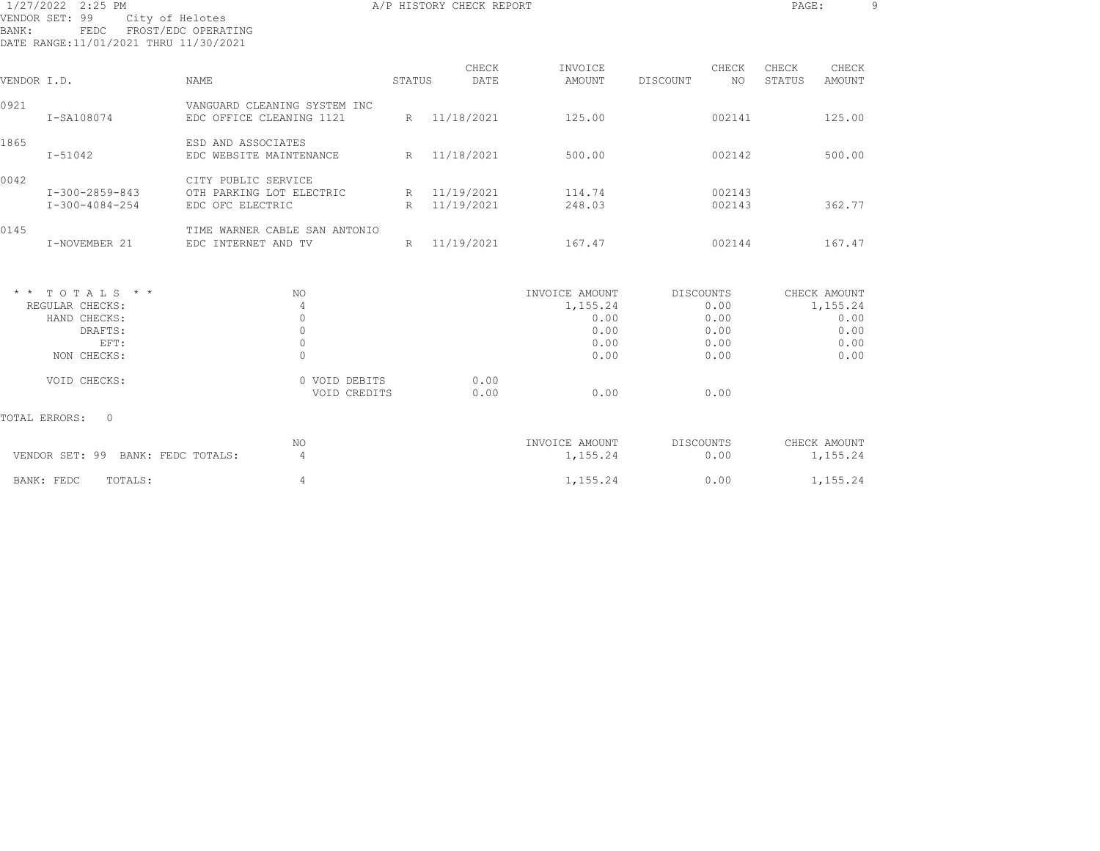| BANK:       | 1/27/2022 2:25 PM<br>VENDOR SET: 99<br>City of Helotes<br>FEDC<br>DATE RANGE: 11/01/2021 THRU 11/30/2021 | FROST/EDC OPERATING                                                 | A/P HISTORY CHECK REPORT | PAGE:                        |                                                            |                                                   |                 |                                          |
|-------------|----------------------------------------------------------------------------------------------------------|---------------------------------------------------------------------|--------------------------|------------------------------|------------------------------------------------------------|---------------------------------------------------|-----------------|------------------------------------------|
| VENDOR I.D. |                                                                                                          | NAME                                                                | STATUS                   | CHECK<br>DATE                | INVOICE<br>AMOUNT                                          | CHECK<br>DISCOUNT<br>NO                           | CHECK<br>STATUS | CHECK<br>AMOUNT                          |
| 0921        | I-SA108074                                                                                               | VANGUARD CLEANING SYSTEM INC<br>EDC OFFICE CLEANING 1121            |                          | R 11/18/2021                 | 125.00                                                     | 002141                                            |                 | 125.00                                   |
| 1865        | $I - 51042$                                                                                              | ESD AND ASSOCIATES<br>EDC WEBSITE MAINTENANCE                       |                          | R 11/18/2021                 | 500.00                                                     | 002142                                            |                 | 500.00                                   |
| 0042        | I-300-2859-843<br>$I - 300 - 4084 - 254$                                                                 | CITY PUBLIC SERVICE<br>OTH PARKING LOT ELECTRIC<br>EDC OFC ELECTRIC |                          | R 11/19/2021<br>R 11/19/2021 | 114.74<br>248.03                                           | 002143<br>002143                                  |                 | 362.77                                   |
| 0145        | I-NOVEMBER 21                                                                                            | TIME WARNER CABLE SAN ANTONIO<br>EDC INTERNET AND TV                |                          | R 11/19/2021                 | 167.47                                                     | 002144                                            |                 | 167.47                                   |
|             | $*$ * TOTALS * *<br>REGULAR CHECKS:<br>HAND CHECKS:<br>DRAFTS:<br>EFT:<br>NON CHECKS:                    | NO.<br>4<br>$\mathbf{0}$<br>$\circ$<br>$\mathbb O$<br>$\Omega$      |                          |                              | INVOICE AMOUNT<br>1,155.24<br>0.00<br>0.00<br>0.00<br>0.00 | DISCOUNTS<br>0.00<br>0.00<br>0.00<br>0.00<br>0.00 | CHECK AMOUNT    | 1,155.24<br>0.00<br>0.00<br>0.00<br>0.00 |
|             | VOID CHECKS:                                                                                             | 0 VOID DEBITS<br>VOID CREDITS                                       |                          | 0.00<br>0.00                 | 0.00                                                       | 0.00                                              |                 |                                          |
|             | TOTAL ERRORS:<br>$\Omega$                                                                                |                                                                     |                          |                              |                                                            |                                                   |                 |                                          |
|             | VENDOR SET: 99 BANK: FEDC TOTALS:                                                                        | NO.<br>$\overline{4}$                                               |                          |                              | INVOICE AMOUNT<br>1,155.24                                 | DISCOUNTS<br>0.00                                 | CHECK AMOUNT    | 1,155.24                                 |
|             | TOTALS:<br>BANK: FEDC                                                                                    | $\overline{4}$                                                      |                          |                              | 1,155.24                                                   | 0.00                                              |                 | 1,155.24                                 |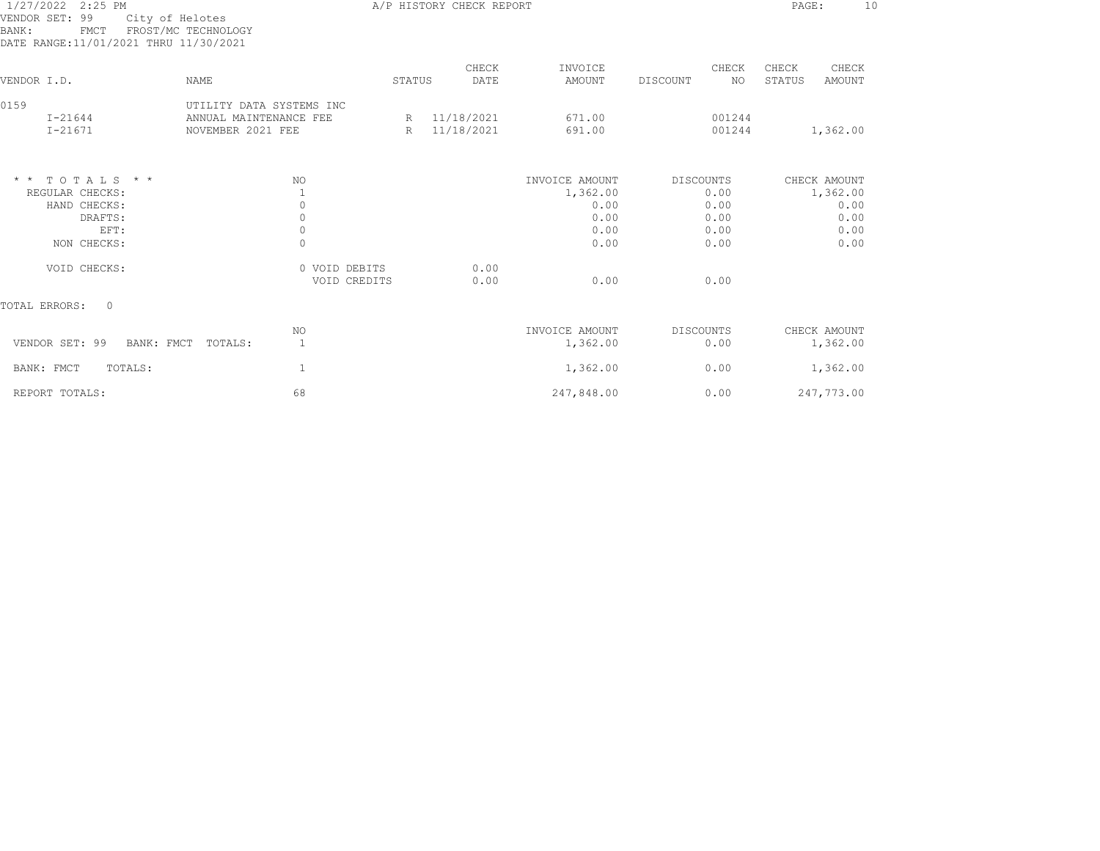| BANK:       | 1/27/2022 2:25 PM<br>VENDOR SET: 99<br>City of Helotes<br><b>FMCT</b><br>DATE RANGE:11/01/2021 THRU 11/30/2021 | FROST/MC TECHNOLOGY                                                     | A/P HISTORY CHECK REPORT |                            |                  |                  |                                |  |  |  |
|-------------|----------------------------------------------------------------------------------------------------------------|-------------------------------------------------------------------------|--------------------------|----------------------------|------------------|------------------|--------------------------------|--|--|--|
|             |                                                                                                                |                                                                         |                          | CHECK                      | INVOICE          | CHECK            | CHECK<br>CHECK                 |  |  |  |
| VENDOR I.D. |                                                                                                                | <b>NAME</b>                                                             | STATUS                   | DATE                       | <b>AMOUNT</b>    | DISCOUNT<br>NO.  | <b>STATUS</b><br><b>AMOUNT</b> |  |  |  |
| 0159        | $I - 21644$<br>$I - 21671$                                                                                     | UTILITY DATA SYSTEMS INC<br>ANNUAL MAINTENANCE FEE<br>NOVEMBER 2021 FEE | R                        | R 11/18/2021<br>11/18/2021 | 671.00<br>691.00 | 001244<br>001244 | 1,362.00                       |  |  |  |
|             | $*$ * TOTALS * *                                                                                               | NO.                                                                     |                          |                            | INVOICE AMOUNT   | <b>DISCOUNTS</b> | CHECK AMOUNT                   |  |  |  |
|             | REGULAR CHECKS:                                                                                                | 1                                                                       |                          |                            | 1,362.00         | 0.00             | 1,362.00                       |  |  |  |
|             | HAND CHECKS:                                                                                                   | $\circ$                                                                 |                          |                            | 0.00             | 0.00             | 0.00                           |  |  |  |
|             | DRAFTS:                                                                                                        | $\circ$                                                                 |                          |                            | 0.00             | 0.00             | 0.00                           |  |  |  |
|             | EFT:                                                                                                           | $\circ$                                                                 |                          |                            | 0.00             | 0.00             | 0.00                           |  |  |  |
|             | NON CHECKS:                                                                                                    | $\circ$                                                                 |                          |                            | 0.00             | 0.00             | 0.00                           |  |  |  |
|             | VOID CHECKS:                                                                                                   | 0 VOID DEBITS                                                           |                          | 0.00                       | 0.00             |                  |                                |  |  |  |
|             |                                                                                                                | VOID CREDITS                                                            |                          | 0.00                       |                  | 0.00             |                                |  |  |  |
|             | TOTAL ERRORS:<br>$\circ$                                                                                       |                                                                         |                          |                            |                  |                  |                                |  |  |  |
|             |                                                                                                                | NO.                                                                     |                          |                            | INVOICE AMOUNT   | <b>DISCOUNTS</b> | CHECK AMOUNT                   |  |  |  |
|             | VENDOR SET: 99<br>BANK: FMCT                                                                                   | 1<br>TOTALS:                                                            |                          |                            | 1,362.00         | 0.00             | 1,362.00                       |  |  |  |
|             | BANK: FMCT<br>TOTALS:                                                                                          | 1                                                                       |                          |                            | 1,362.00         | 0.00             | 1,362.00                       |  |  |  |
|             | REPORT TOTALS:                                                                                                 | 68                                                                      |                          |                            | 247,848.00       | 0.00             | 247,773.00                     |  |  |  |
|             |                                                                                                                |                                                                         |                          |                            |                  |                  |                                |  |  |  |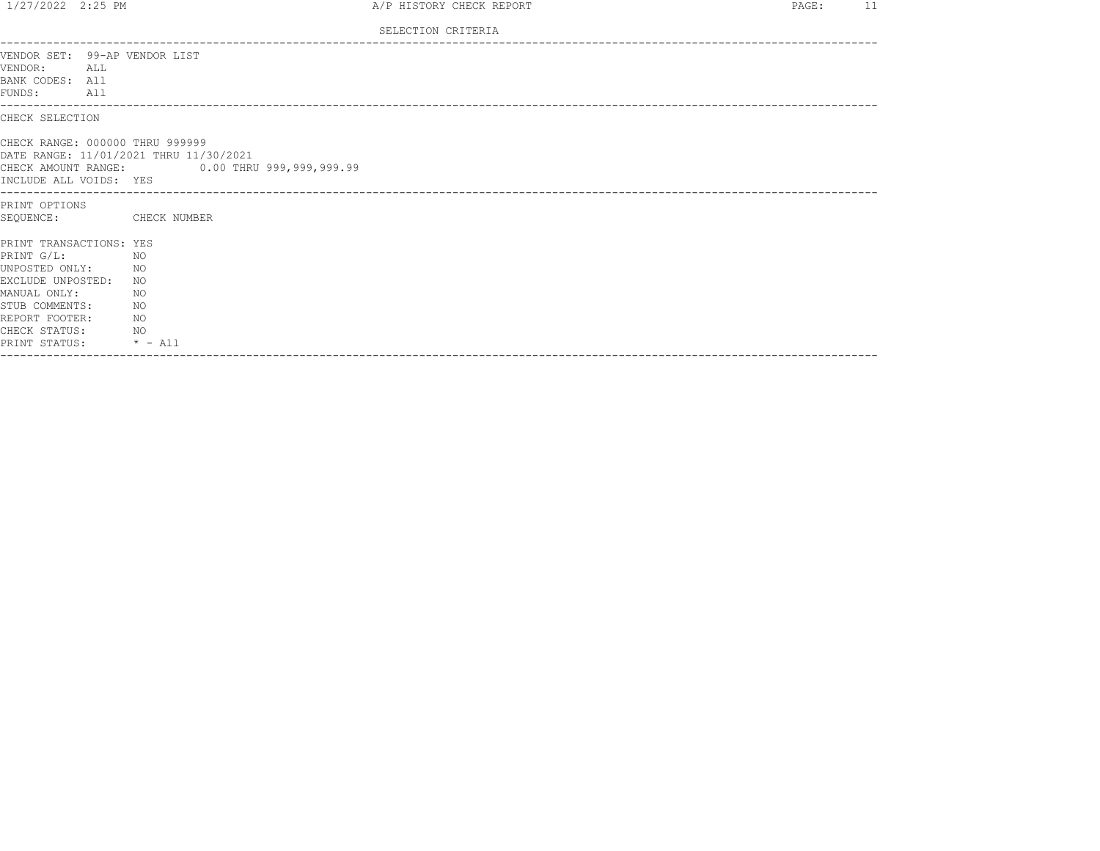| 1/27/2022 2:25 PM                                                                |                 |                                                                                        | A/P HISTORY CHECK REPORT | PAGE: | 11 |
|----------------------------------------------------------------------------------|-----------------|----------------------------------------------------------------------------------------|--------------------------|-------|----|
|                                                                                  |                 |                                                                                        | SELECTION CRITERIA       |       |    |
| VENDOR SET: 99-AP VENDOR LIST<br>VENDOR: ALL<br>BANK CODES: All<br>FUNDS:<br>A11 |                 |                                                                                        |                          |       |    |
| CHECK SELECTION                                                                  |                 |                                                                                        |                          |       |    |
| CHECK RANGE: 000000 THRU 999999<br>INCLUDE ALL VOIDS: YES                        |                 | DATE RANGE: 11/01/2021 THRU 11/30/2021<br>CHECK AMOUNT RANGE: 0.00 THRU 999,999,999.99 |                          |       |    |
| PRINT OPTIONS                                                                    |                 |                                                                                        |                          |       |    |
| SEQUENCE:                                                                        |                 | CHECK NUMBER                                                                           |                          |       |    |
| PRINT TRANSACTIONS: YES                                                          |                 |                                                                                        |                          |       |    |
| PRINT G/L:                                                                       | NO <sub>N</sub> |                                                                                        |                          |       |    |
| UNPOSTED ONLY:                                                                   | NO <sub>N</sub> |                                                                                        |                          |       |    |
| EXCLUDE UNPOSTED:<br>MANUAL ONLY:                                                |                 | NO<br>NO.                                                                              |                          |       |    |
| STUB COMMENTS:                                                                   | NO <sub>N</sub> |                                                                                        |                          |       |    |
| REPORT FOOTER:                                                                   |                 | NO.                                                                                    |                          |       |    |
| CHECK STATUS:                                                                    | NO <sub>N</sub> |                                                                                        |                          |       |    |
| PRINT STATUS:                                                                    |                 | $\star$ - All                                                                          |                          |       |    |
|                                                                                  |                 |                                                                                        |                          |       |    |